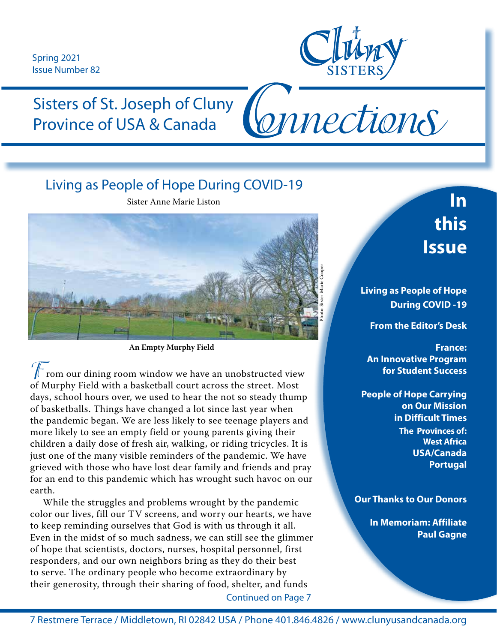Spring 2021 Issue Number 82



Connections

Sisters of St. Joseph of Cluny Province of USA & Canada

## Living as People of Hope During COVID-19

Sister Anne Marie Liston



**An Empty Murphy Field**

 $\Gamma$  rom our dining room window we have an unobstructed view of Murphy Field with a basketball court across the street. Most days, school hours over, we used to hear the not so steady thump of basketballs. Things have changed a lot since last year when the pandemic began. We are less likely to see teenage players and more likely to see an empty field or young parents giving their children a daily dose of fresh air, walking, or riding tricycles. It is just one of the many visible reminders of the pandemic. We have grieved with those who have lost dear family and friends and pray for an end to this pandemic which has wrought such havoc on our earth.

 While the struggles and problems wrought by the pandemic color our lives, fill our TV screens, and worry our hearts, we have to keep reminding ourselves that God is with us through it all. Even in the midst of so much sadness, we can still see the glimmer of hope that scientists, doctors, nurses, hospital personnel, first responders, and our own neighbors bring as they do their best to serve. The ordinary people who become extraordinary by their generosity, through their sharing of food, shelter, and funds Continued on Page 7

**In this Issue** 

**Living as People of Hope During COVID -19**

**From the Editor's Desk**

**France: An Innovative Program for Student Success**

**People of Hope Carrying on Our Mission in Difficult Times The Provinces of: West Africa USA/Canada Portugal**

#### **Our Thanks to Our Donors**

**In Memoriam: Affiliate Paul Gagne**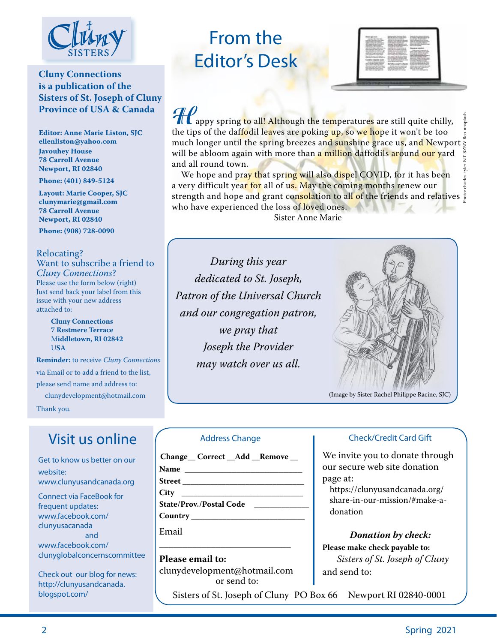

### **Cluny Connections is a publication of the Sisters of St. Joseph of Cluny Province of USA & Canada**

**Editor: Anne Marie Liston, SJC ellenliston@yahoo.com Javouhey House 78 Carroll Avenue Newport, RI 02840**

**Phone: (401) 849-5124**

**Layout: Marie Cooper, SJC clunymarie@gmail.com 78 Carroll Avenue Newport, RI 02840**

**Phone: (908) 728-0090**

#### Relocating?

Want to subscribe a friend to *Cluny Connections*? Please use the form below (right) Just send back your label from this issue with your new address attached to:

> **Cluny Connections 7 Restmere Terrace** M**iddletown, RI 02842** U**SA**

**Reminder:** to receive *Cluny Connections* via Email or to add a friend to the list, please send name and address to: clunydevelopment@hotmail.com

Thank you.

## Visit us online

Get to know us better on our website: www.clunyusandcanada.org

Connect via FaceBook for frequent updates: www.facebook.com/ clunyusacanada and

www.facebook.com/ clunyglobalconcernscommittee

Check out our blog for news: http://clunyusandcanada. blogspot.com/

# From the Editor's Desk



**HIM** appy spring to all! Although the temperatures are still quite chilly, the tips of the daf<mark>fo</mark>dil le<mark>a</mark>ves are poking <mark>up, s</mark>o we hope it won't be too much longer until the spring breezes an<mark>d suns</mark>hine grace u<mark>s</mark>, an<mark>d N</mark>ewport' will be abloom again with more than <mark>a million d</mark>affodils <mark>ar</mark>ound our yard and all round town. Photo: charles-tyler-NT-SZNVl8co-unsplash

We hope and pra<mark>y th</mark>at spr<mark>ing will also dispe</mark>l COVID, for it has been a very difficult year for all of us. May the coming months renew our strength and hope and grant con<mark>solat</mark>ion to al<mark>l o</mark>f the friends and relatives  $\frac{8}{2}$ who have experienced the loss of loved ones. Sister Anne Marie

*During this year dedicated to St. Joseph, Patron of the Universal Church and our congregation patron, we pray that Joseph the Provider may watch over us all.*



(Image by Sister Rachel Philippe Racine, SJC)

#### Address Change

| Change Correct _Add _Remove _                   |
|-------------------------------------------------|
|                                                 |
| <u> Street ________________________________</u> |
|                                                 |
| State/Prov./Postal Code                         |
|                                                 |
| Email                                           |

**Please email to:**  clunydevelopment@hotmail.com or send to:

 $\overline{\phantom{a}}$  ,  $\overline{\phantom{a}}$  ,  $\overline{\phantom{a}}$  ,  $\overline{\phantom{a}}$  ,  $\overline{\phantom{a}}$  ,  $\overline{\phantom{a}}$  ,  $\overline{\phantom{a}}$  ,  $\overline{\phantom{a}}$  ,  $\overline{\phantom{a}}$  ,  $\overline{\phantom{a}}$  ,  $\overline{\phantom{a}}$  ,  $\overline{\phantom{a}}$  ,  $\overline{\phantom{a}}$  ,  $\overline{\phantom{a}}$  ,  $\overline{\phantom{a}}$  ,  $\overline{\phantom{a}}$ 

Sisters of St. Joseph of Cluny PO Box 66 Newport RI 02840-0001

#### Check/Credit Card Gift

We invite you to donate through our secure web site donation page at:

https://clunyusandcanada.org/ share-in-our-mission/#make-adonation

#### *Donation by check:*

**Please make check payable to:** *Sisters of St. Joseph of Cluny*  and send to: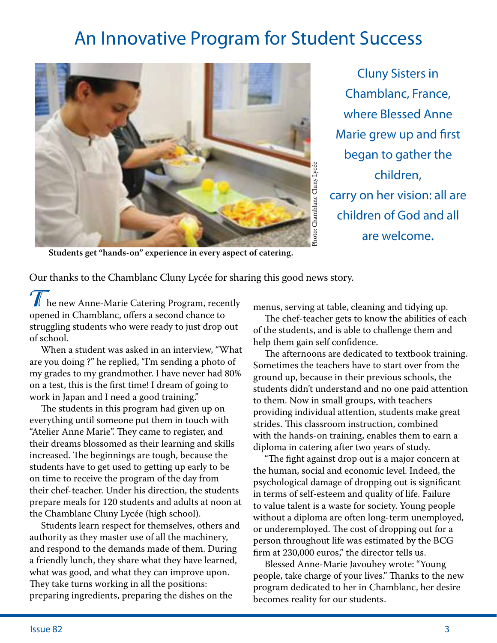# An Innovative Program for Student Success



Cluny Sisters in Chamblanc, France, where Blessed Anne Marie grew up and first began to gather the children, carry on her vision: all are children of God and all are welcome.

**Students get "hands-on" experience in every aspect of catering.**

Our thanks to the Chamblanc Cluny Lycée for sharing this good news story.

The new Anne-Marie Catering Program, recently opened in Chamblanc, offers a second chance to struggling students who were ready to just drop out of school.

 When a student was asked in an interview, "What are you doing ?" he replied, "I'm sending a photo of my grades to my grandmother. I have never had 80% on a test, this is the first time! I dream of going to work in Japan and I need a good training."

 The students in this program had given up on everything until someone put them in touch with "Atelier Anne Marie". They came to register, and their dreams blossomed as their learning and skills increased. The beginnings are tough, because the students have to get used to getting up early to be on time to receive the program of the day from their chef-teacher. Under his direction, the students prepare meals for 120 students and adults at noon at the Chamblanc Cluny Lycée (high school).

 Students learn respect for themselves, others and authority as they master use of all the machinery, and respond to the demands made of them. During a friendly lunch, they share what they have learned, what was good, and what they can improve upon. They take turns working in all the positions: preparing ingredients, preparing the dishes on the

menus, serving at table, cleaning and tidying up.

 The chef-teacher gets to know the abilities of each of the students, and is able to challenge them and help them gain self confidence.

 The afternoons are dedicated to textbook training. Sometimes the teachers have to start over from the ground up, because in their previous schools, the students didn't understand and no one paid attention to them. Now in small groups, with teachers providing individual attention, students make great strides. This classroom instruction, combined with the hands-on training, enables them to earn a diploma in catering after two years of study.

 "The fight against drop out is a major concern at the human, social and economic level. Indeed, the psychological damage of dropping out is significant in terms of self-esteem and quality of life. Failure to value talent is a waste for society. Young people without a diploma are often long-term unemployed, or underemployed. The cost of dropping out for a person throughout life was estimated by the BCG firm at 230,000 euros," the director tells us.

 Blessed Anne-Marie Javouhey wrote: "Young people, take charge of your lives." Thanks to the new program dedicated to her in Chamblanc, her desire becomes reality for our students.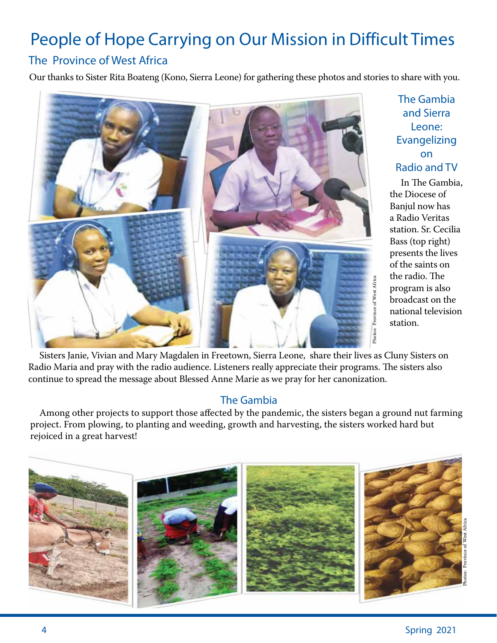# People of Hope Carrying on Our Mission in Difficult Times

### The Province of West Africa

Our thanks to Sister Rita Boateng (Kono, Sierra Leone) for gathering these photos and stories to share with you.



The Gambia and Sierra Leone: Evangelizing on Radio and TV

 In The Gambia, the Diocese of Banjul now has a Radio Veritas station. Sr. Cecilia Bass (top right) presents the lives of the saints on the radio. The program is also broadcast on the national television station.

Photos: Province of West Africa

 Sisters Janie, Vivian and Mary Magdalen in Freetown, Sierra Leone, share their lives as Cluny Sisters on Radio Maria and pray with the radio audience. Listeners really appreciate their programs. The sisters also continue to spread the message about Blessed Anne Marie as we pray for her canonization.

### The Gambia

 Among other projects to support those affected by the pandemic, the sisters began a ground nut farming project. From plowing, to planting and weeding, growth and harvesting, the sisters worked hard but rejoiced in a great harvest!

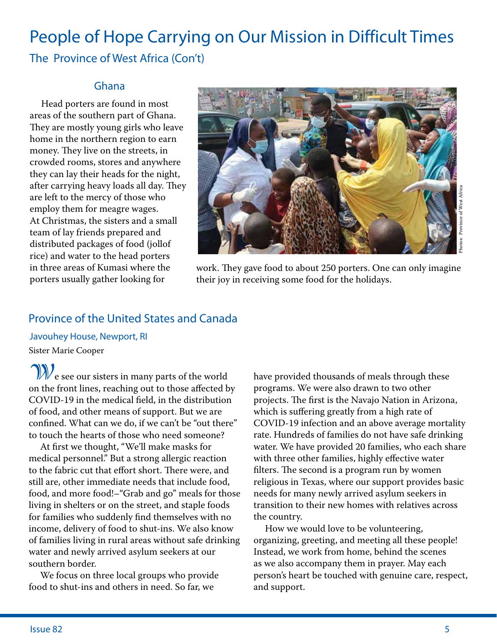# People of Hope Carrying on Our Mission in Difficult Times The Province of West Africa (Con't)

### Ghana

 Head porters are found in most areas of the southern part of Ghana. They are mostly young girls who leave home in the northern region to earn money. They live on the streets, in crowded rooms, stores and anywhere they can lay their heads for the night, after carrying heavy loads all day. They are left to the mercy of those who employ them for meagre wages. At Christmas, the sisters and a small team of lay friends prepared and distributed packages of food (jollof rice) and water to the head porters in three areas of Kumasi where the porters usually gather looking for



work. They gave food to about 250 porters. One can only imagine their joy in receiving some food for the holidays.

### Province of the United States and Canada

Sister Marie Cooper Javouhey House, Newport, RI

**W**e see our sisters in many parts of the world on the front lines, reaching out to those affected by COVID-19 in the medical field, in the distribution of food, and other means of support. But we are confined. What can we do, if we can't be "out there" to touch the hearts of those who need someone?

 At first we thought, "We'll make masks for medical personnel." But a strong allergic reaction to the fabric cut that effort short. There were, and still are, other immediate needs that include food, food, and more food!–"Grab and go" meals for those living in shelters or on the street, and staple foods for families who suddenly find themselves with no income, delivery of food to shut-ins. We also know of families living in rural areas without safe drinking water and newly arrived asylum seekers at our southern border.

 We focus on three local groups who provide food to shut-ins and others in need. So far, we

have provided thousands of meals through these programs. We were also drawn to two other projects. The first is the Navajo Nation in Arizona, which is suffering greatly from a high rate of COVID-19 infection and an above average mortality rate. Hundreds of families do not have safe drinking water. We have provided 20 families, who each share with three other families, highly effective water filters. The second is a program run by women religious in Texas, where our support provides basic needs for many newly arrived asylum seekers in transition to their new homes with relatives across the country.

 How we would love to be volunteering, organizing, greeting, and meeting all these people! Instead, we work from home, behind the scenes as we also accompany them in prayer. May each person's heart be touched with genuine care, respect, and support.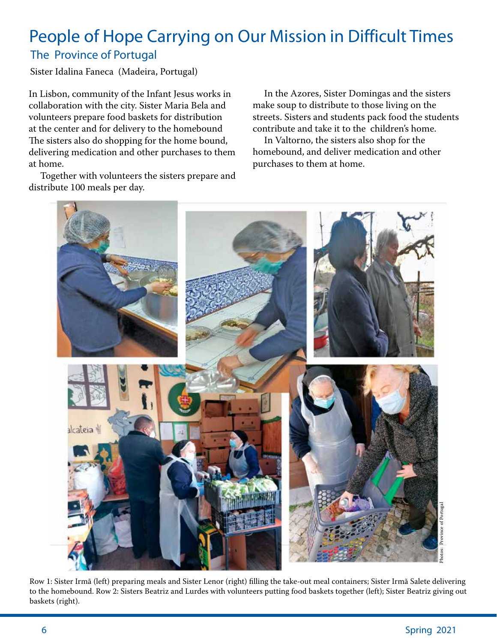## The Province of Portugal People of Hope Carrying on Our Mission in Difficult Times

Sister Idalina Faneca (Madeira, Portugal)

In Lisbon, community of the Infant Jesus works in collaboration with the city. Sister Maria Bela and volunteers prepare food baskets for distribution at the center and for delivery to the homebound The sisters also do shopping for the home bound, delivering medication and other purchases to them at home.

 Together with volunteers the sisters prepare and distribute 100 meals per day.

 In the Azores, Sister Domingas and the sisters make soup to distribute to those living on the streets. Sisters and students pack food the students contribute and take it to the children's home.

 In Valtorno, the sisters also shop for the homebound, and deliver medication and other purchases to them at home.



Row 1: Sister Irmã (left) preparing meals and Sister Lenor (right) filling the take-out meal containers; Sister Irmã Salete delivering to the homebound. Row 2: Sisters Beatriz and Lurdes with volunteers putting food baskets together (left); Sister Beatriz giving out baskets (right).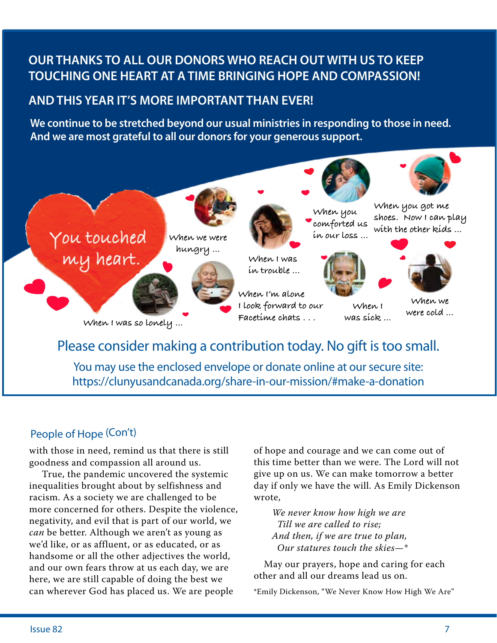## **OUR THANKS TO ALL OUR DONORS WHO REACH OUT WITH US TO KEEP TOUCHING ONE HEART AT A TIME BRINGING HOPE AND COMPASSION!**

## **AND THIS YEAR IT'S MORE IMPORTANT THAN EVER!**

**We continue to be stretched beyond our usual ministries in responding to those in need. And we are most grateful to all our donors for your generous support.**



You may use the enclosed envelope or donate online at our secure site: https://clunyusandcanada.org/share-in-our-mission/#make-a-donation

## People of Hope (Con't)

with those in need, remind us that there is still goodness and compassion all around us.

 True, the pandemic uncovered the systemic inequalities brought about by selfishness and racism. As a society we are challenged to be more concerned for others. Despite the violence, negativity, and evil that is part of our world, we *can* be better. Although we aren't as young as we'd like, or as affluent, or as educated, or as handsome or all the other adjectives the world, and our own fears throw at us each day, we are here, we are still capable of doing the best we can wherever God has placed us. We are people

of hope and courage and we can come out of this time better than we were. The Lord will not give up on us. We can make tomorrow a better day if only we have the will. As Emily Dickenson wrote,

*We never know how high we are Till we are called to rise; And then, if we are true to plan, Our statures touch the skies—\**

 May our prayers, hope and caring for each other and all our dreams lead us on.

\*Emily Dickenson, "We Never Know How High We Are"